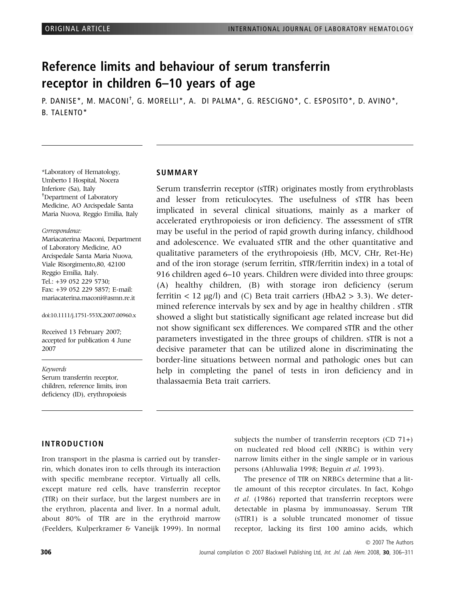# Reference limits and behaviour of serum transferrin receptor in children 6–10 years of age

P. DANISE\*, M. MACONI<sup>†</sup>, G. MORELLI\*, A. DI PALMA\*, G. RESCIGNO\*, C. ESPOSITO\*, D. AVINO\*, B. TALENTO\*

\*Laboratory of Hematology, Umberto I Hospital, Nocera Inferiore (Sa), Italy † Department of Laboratory Medicine, AO Arcispedale Santa Maria Nuova, Reggio Emilia, Italy

#### Correspondence:

Mariacaterina Maconi, Department of Laboratory Medicine, AO Arcispedale Santa Maria Nuova, Viale Risorgimento,80, 42100 Reggio Emilia, Italy. Tel.: +39 052 229 5730; Fax: +39 052 229 5857; E-mail: mariacaterina.maconi@asmn.re.it

#### doi:10.1111/j.1751-553X.2007.00960.x

Received 13 February 2007; accepted for publication 4 June 2007

#### Keywords

Serum transferrin receptor, children, reference limits, iron deficiency (ID), erythropoiesis

#### **SUMMARY**

Serum transferrin receptor (sTfR) originates mostly from erythroblasts and lesser from reticulocytes. The usefulness of sTfR has been implicated in several clinical situations, mainly as a marker of accelerated erythropoiesis or iron deficiency. The assessment of sTfR may be useful in the period of rapid growth during infancy, childhood and adolescence. We evaluated sTfR and the other quantitative and qualitative parameters of the erythropoiesis (Hb, MCV, CHr, Ret-He) and of the iron storage (serum ferritin, sTfR/ferritin index) in a total of 916 children aged 6–10 years. Children were divided into three groups: (A) healthy children, (B) with storage iron deficiency (serum ferritin  $< 12 \text{ µg/l}$  and (C) Beta trait carriers (HbA2 > 3.3). We determined reference intervals by sex and by age in healthy children . sTfR showed a slight but statistically significant age related increase but did not show significant sex differences. We compared sTfR and the other parameters investigated in the three groups of children. sTfR is not a decisive parameter that can be utilized alone in discriminating the border-line situations between normal and pathologic ones but can help in completing the panel of tests in iron deficiency and in thalassaemia Beta trait carriers.

## INTRODUCTION

Iron transport in the plasma is carried out by transferrin, which donates iron to cells through its interaction with specific membrane receptor. Virtually all cells, except mature red cells, have transferrin receptor (TfR) on their surface, but the largest numbers are in the erythron, placenta and liver. In a normal adult, about 80% of TfR are in the erythroid marrow (Feelders, Kulperkramer & Vaneijk 1999). In normal

subjects the number of transferrin receptors  $(CD 71+)$ on nucleated red blood cell (NRBC) is within very narrow limits either in the single sample or in various persons (Ahluwalia 1998; Beguin et al. 1993).

The presence of TfR on NRBCs determine that a little amount of this receptor circulates. In fact, Kohgo et al. (1986) reported that transferrin receptors were detectable in plasma by immunoassay. Serum TfR (sTfR1) is a soluble truncated monomer of tissue receptor, lacking its first 100 amino acids, which

© 2007 The Authors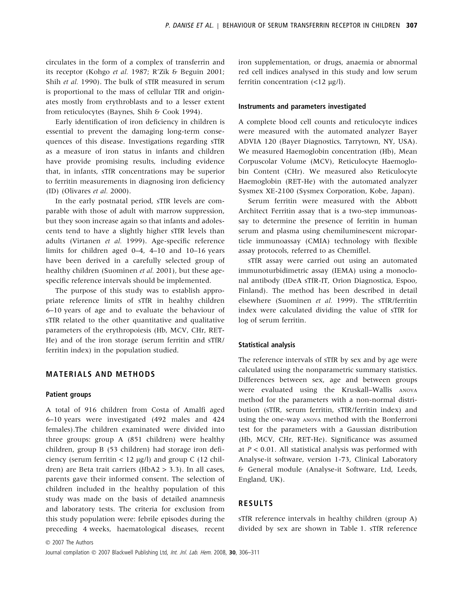circulates in the form of a complex of transferrin and its receptor (Kohgo et al. 1987; R'Zik & Beguin 2001; Shih et al. 1990). The bulk of sTfR measured in serum is proportional to the mass of cellular TfR and originates mostly from erythroblasts and to a lesser extent from reticulocytes (Baynes, Shih & Cook 1994).

Early identification of iron deficiency in children is essential to prevent the damaging long-term consequences of this disease. Investigations regarding sTfR as a measure of iron status in infants and children have provide promising results, including evidence that, in infants, sTfR concentrations may be superior to ferritin measurements in diagnosing iron deficiency (ID) (Olivares et al. 2000).

In the early postnatal period, sTfR levels are comparable with those of adult with marrow suppression, but they soon increase again so that infants and adolescents tend to have a slightly higher sTfR levels than adults (Virtanen et al. 1999). Age-specific reference limits for children aged 0–4, 4–10 and 10–16 years have been derived in a carefully selected group of healthy children (Suominen et al. 2001), but these agespecific reference intervals should be implemented.

The purpose of this study was to establish appropriate reference limits of sTfR in healthy children 6–10 years of age and to evaluate the behaviour of sTfR related to the other quantitative and qualitative parameters of the erythropoiesis (Hb, MCV, CHr, RET-He) and of the iron storage (serum ferritin and sTfR/ ferritin index) in the population studied.

## MATERIALS AND METHODS

#### Patient groups

A total of 916 children from Costa of Amalfi aged 6–10 years were investigated (492 males and 424 females).The children examinated were divided into three groups: group A (851 children) were healthy children, group B (53 children) had storage iron deficiency (serum ferritin  $< 12 \mu g/l$ ) and group C (12 children) are Beta trait carriers (HbA2 > 3.3). In all cases, parents gave their informed consent. The selection of children included in the healthy population of this study was made on the basis of detailed anamnesis and laboratory tests. The criteria for exclusion from this study population were: febrile episodes during the preceding 4 weeks, haematological diseases, recent iron supplementation, or drugs, anaemia or abnormal red cell indices analysed in this study and low serum ferritin concentration  $\left(\langle 12 \ \mu g / l \right)$ .

#### Instruments and parameters investigated

A complete blood cell counts and reticulocyte indices were measured with the automated analyzer Bayer ADVIA 120 (Bayer Diagnostics, Tarrytown, NY, USA). We measured Haemoglobin concentration (Hb), Mean Corpuscolar Volume (MCV), Reticulocyte Haemoglobin Content (CHr). We measured also Reticulocyte Haemoglobin (RET-He) with the automated analyzer Sysmex XE-2100 (Sysmex Corporation, Kobe, Japan).

Serum ferritin were measured with the Abbott Architect Ferritin assay that is a two-step immunoassay to determine the presence of ferritin in human serum and plasma using chemiluminescent microparticle immunoassay (CMIA) technology with flexible assay protocols, referred to as Chemiflel.

sTfR assay were carried out using an automated immunoturbidimetric assay (IEMA) using a monoclonal antibody (IDeA sTfR-IT, Orion Diagnostica, Espoo, Finland). The method has been described in detail elsewhere (Suominen et al. 1999). The sTfR/ferritin index were calculated dividing the value of sTfR for log of serum ferritin.

### Statistical analysis

The reference intervals of sTfR by sex and by age were calculated using the nonparametric summary statistics. Differences between sex, age and between groups were evaluated using the Kruskall–Wallis ANOVA method for the parameters with a non-normal distribution (sTfR, serum ferritin, sTfR/ferritin index) and using the one-way ANOVA method with the Bonferroni test for the parameters with a Gaussian distribution (Hb, MCV, CHr, RET-He). Significance was assumed at  $P < 0.01$ . All statistical analysis was performed with Analyse-it software, version 1-73, Clinical Laboratory & General module (Analyse-it Software, Ltd, Leeds, England, UK).

## RESULTS

sTfR reference intervals in healthy children (group A) divided by sex are shown in Table 1. sTfR reference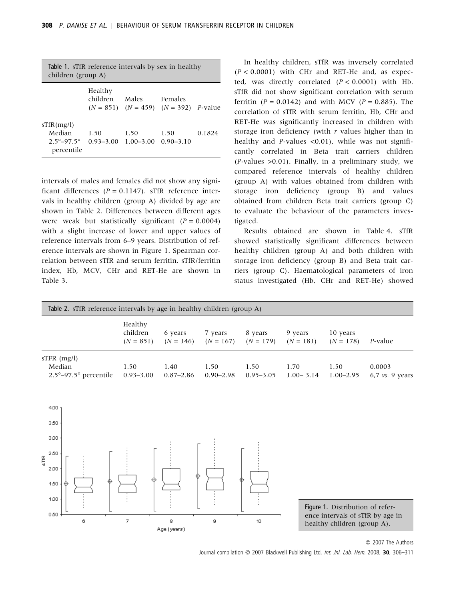| Table 1. sTfR reference intervals by sex in healthy<br>children (group A) |                       |                       |                                                        |        |  |
|---------------------------------------------------------------------------|-----------------------|-----------------------|--------------------------------------------------------|--------|--|
|                                                                           | Healthy<br>children   | Males                 | Females<br>$(N = 851)$ $(N = 459)$ $(N = 392)$ P-value |        |  |
| sTfR(mg/l)<br>Median<br>$2.5^{\circ} - 97.5^{\circ}$<br>percentile        | 1.50<br>$0.93 - 3.00$ | 1.50<br>$1.00 - 3.00$ | 1.50<br>$0.90 - 3.10$                                  | 0.1824 |  |

intervals of males and females did not show any significant differences ( $P = 0.1147$ ). sTfR reference intervals in healthy children (group A) divided by age are shown in Table 2. Differences between different ages were weak but statistically significant  $(P = 0.0004)$ with a slight increase of lower and upper values of reference intervals from 6–9 years. Distribution of reference intervals are shown in Figure 1. Spearman correlation between sTfR and serum ferritin, sTfR/ferritin index, Hb, MCV, CHr and RET-He are shown in Table 3.

In healthy children, sTfR was inversely correlated  $(P < 0.0001)$  with CHr and RET-He and, as expected, was directly correlated  $(P < 0.0001)$  with Hb. sTfR did not show significant correlation with serum ferritin  $(P = 0.0142)$  and with MCV  $(P = 0.885)$ . The correlation of sTfR with serum ferritin, Hb, CHr and RET-He was significantly increased in children with storage iron deficiency (with  $r$  values higher than in healthy and P-values <0.01), while was not significantly correlated in Beta trait carriers children  $(P\text{-values } > 0.01)$ . Finally, in a preliminary study, we compared reference intervals of healthy children (group A) with values obtained from children with storage iron deficiency (group B) and values obtained from children Beta trait carriers (group C) to evaluate the behaviour of the parameters investigated.

Results obtained are shown in Table 4. sTfR showed statistically significant differences between healthy children (group A) and both children with storage iron deficiency (group B) and Beta trait carriers (group C). Haematological parameters of iron status investigated (Hb, CHr and RET-He) showed

| Table 2. sTfR reference intervals by age in healthy children (group A) |                                    |                        |                        |                        |                        |                         |                             |
|------------------------------------------------------------------------|------------------------------------|------------------------|------------------------|------------------------|------------------------|-------------------------|-----------------------------|
|                                                                        | Healthy<br>children<br>$(N = 851)$ | 6 years<br>$(N = 146)$ | 7 years<br>$(N = 167)$ | 8 years<br>$(N = 179)$ | 9 years<br>$(N = 181)$ | 10 years<br>$(N = 178)$ | P-value                     |
| $STFR$ (mg/l)<br>Median<br>$2.5^{\circ}$ -97.5 $^{\circ}$ percentile   | 1.50<br>$0.93 - 3.00$              | 1.40<br>$0.87 - 2.86$  | 1.50<br>$0.90 - 2.98$  | 1.50<br>$0.95 - 3.05$  | 1.70<br>$1.00 - 3.14$  | 1.50<br>$1.00 - 2.95$   | 0.0003<br>$6.7$ vs. 9 years |



Figure 1. Distribution of reference intervals of sTfR by age in healthy children (group A).

© 2007 The Authors

Journal compilation © 2007 Blackwell Publishing Ltd, Int. Jnl. Lab. Hem. 2008, 30, 306-311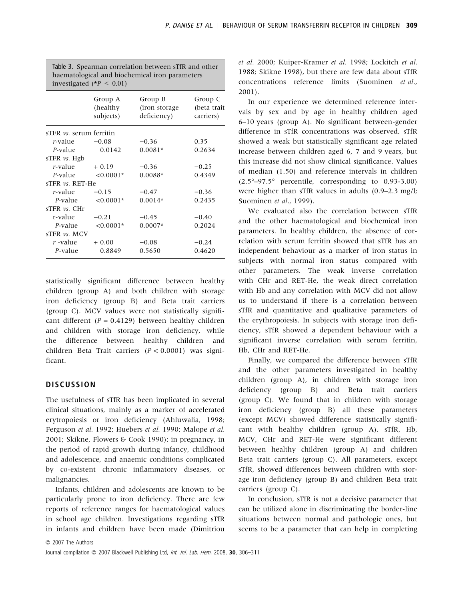|                                | investigated (* $P < 0.01$ )     | Table 3. Spearman correlation between sTfR and other<br>haematological and biochemical iron parameters |                                     |
|--------------------------------|----------------------------------|--------------------------------------------------------------------------------------------------------|-------------------------------------|
|                                | Group A<br>(healthy<br>subjects) | Group B<br>(iron storage<br>deficiency)                                                                | Group C<br>(beta trait<br>carriers) |
| sTFR <i>vs.</i> serum ferritin |                                  |                                                                                                        |                                     |
| <i>r</i> -value                | $-0.08$                          | $-0.36$                                                                                                | 0.35                                |
| $P$ -value                     | 0.0142                           | $0.0081*$                                                                                              | 0.2634                              |
| sTFR $vs.$ Hgb                 |                                  |                                                                                                        |                                     |
| $r$ -value                     | $+0.19$                          | $-0.36$                                                                                                | $-0.25$                             |
| P-value                        | $< 0.0001*$                      | $0.0088*$                                                                                              | 0.4349                              |
| sTFR vs. RET-He                |                                  |                                                                                                        |                                     |
| r-value                        | $-0.15$                          | $-0.47$                                                                                                | $-0.36$                             |
| P-value                        | $< 0.0001*$                      | $0.0014*$                                                                                              | 0.2435                              |
| $s$ TFR $\nu s$ . CHr          |                                  |                                                                                                        |                                     |
| r-value                        | $-0.21$                          | $-0.45$                                                                                                | $-0.40$                             |
| P-value                        | $< 0.0001*$                      | $0.0007*$                                                                                              | 0.2024                              |
| $STFR$ $vs.$ MCV               |                                  |                                                                                                        |                                     |
| $r$ -value                     | $+0.00$                          | $-0.08$                                                                                                | $-0.24$                             |
| P-value                        | 0.8849                           | 0.5650                                                                                                 | 0.4620                              |
|                                |                                  |                                                                                                        |                                     |

statistically significant difference between healthy children (group A) and both children with storage iron deficiency (group B) and Beta trait carriers (group C). MCV values were not statistically significant different ( $P = 0.4129$ ) between healthy children and children with storage iron deficiency, while the difference between healthy children and children Beta Trait carriers ( $P < 0.0001$ ) was significant.

## **DISCUSSION**

The usefulness of sTfR has been implicated in several clinical situations, mainly as a marker of accelerated erytropoiesis or iron deficiency (Ahluwalia, 1998; Ferguson et al. 1992; Huebers et al. 1990; Malope et al. 2001; Skikne, Flowers & Cook 1990): in pregnancy, in the period of rapid growth during infancy, childhood and adolescence, and anaemic conditions complicated by co-existent chronic inflammatory diseases, or malignancies.

Infants, children and adolescents are known to be particularly prone to iron deficiency. There are few reports of reference ranges for haematological values in school age children. Investigations regarding sTfR in infants and children have been made (Dimitriou et al. 2000; Kuiper-Kramer et al. 1998; Lockitch et al. 1988; Skikne 1998), but there are few data about sTfR concentrations reference limits (Suominen et al., 2001).

In our experience we determined reference intervals by sex and by age in healthy children aged 6–10 years (group A). No significant between-gender difference in sTfR concentrations was observed. sTfR showed a weak but statistically significant age related increase between children aged 6, 7 and 9 years, but this increase did not show clinical significance. Values of median (1.50) and reference intervals in children  $(2.5^{\circ}-97.5^{\circ})$  percentile, corresponding to 0.93-3.00) were higher than sTfR values in adults (0.9–2.3 mg/l; Suominen et al., 1999).

We evaluated also the correlation between sTfR and the other haematological and biochemical iron parameters. In healthy children, the absence of correlation with serum ferritin showed that sTfR has an independent behaviour as a marker of iron status in subjects with normal iron status compared with other parameters. The weak inverse correlation with CHr and RET-He, the weak direct correlation with Hb and any correlation with MCV did not allow us to understand if there is a correlation between sTfR and quantitative and qualitative parameters of the erythropoiesis. In subjects with storage iron deficiency, sTfR showed a dependent behaviour with a significant inverse correlation with serum ferritin, Hb, CHr and RET-He.

Finally, we compared the difference between sTfR and the other parameters investigated in healthy children (group A), in children with storage iron deficiency (group B) and Beta trait carriers (group C). We found that in children with storage iron deficiency (group B) all these parameters (except MCV) showed difference statistically significant with healthy children (group A). sTfR, Hb, MCV, CHr and RET-He were significant different between healthy children (group A) and children Beta trait carriers (group C). All parameters, except sTfR, showed differences between children with storage iron deficiency (group B) and children Beta trait carriers (group C).

In conclusion, sTfR is not a decisive parameter that can be utilized alone in discriminating the border-line situations between normal and pathologic ones, but seems to be a parameter that can help in completing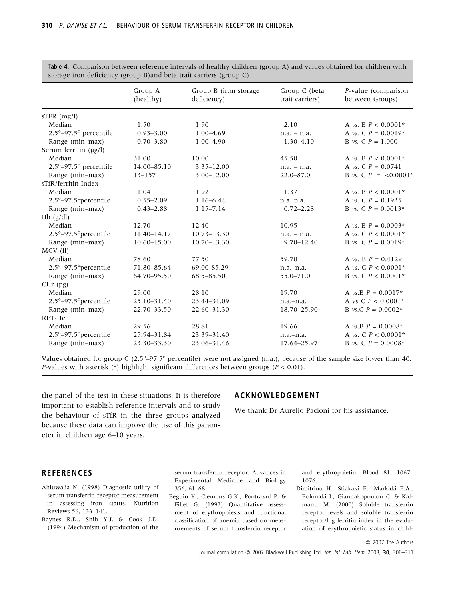|                                           | storage from deficiency (group B)and beta trait carriers (group C) |                                      |                                  |                                        |  |
|-------------------------------------------|--------------------------------------------------------------------|--------------------------------------|----------------------------------|----------------------------------------|--|
|                                           | Group A<br>(healthy)                                               | Group B (iron storage<br>deficiency) | Group C (beta<br>trait carriers) | P-value (comparison<br>between Groups) |  |
| $STFR$ (mg/l)                             |                                                                    |                                      |                                  |                                        |  |
| Median                                    | 1.50                                                               | 1.90                                 | 2.10                             | A <i>vs.</i> B $P < 0.0001*$           |  |
| $2.5^{\circ}$ -97.5 $^{\circ}$ percentile | $0.93 - 3.00$                                                      | 1.00-4.69                            | $n.a. - n.a.$                    | A <i>vs.</i> C $P = 0.0019*$           |  |
| Range (min-max)                           | $0.70 - 3.80$                                                      | 1.00-4.90                            | $1.30 - 4.10$                    | B vs. C $P = 1.000$                    |  |
| Serum ferritin $(\mu g/l)$                |                                                                    |                                      |                                  |                                        |  |
| Median                                    | 31.00                                                              | 10.00                                | 45.50                            | A <i>vs.</i> B $P < 0.0001*$           |  |
| $2.5^{\circ}$ -97.5 $^{\circ}$ percentile | 14.00-85.10                                                        | $3.35 - 12.00$                       | $n.a. - n.a.$                    | A <i>vs.</i> C $P = 0.0741$            |  |
| Range (min-max)                           | $13 - 157$                                                         | $3.00 - 12.00$                       | $22.0 - 87.0$                    | B vs. C $P = \langle 0.0001^*$         |  |
| sTfR/ferritin Index                       |                                                                    |                                      |                                  |                                        |  |
| Median                                    | 1.04                                                               | 1.92                                 | 1.37                             | A <i>vs.</i> B $P < 0.0001*$           |  |
| 2.5°-97.5° percentile                     | $0.55 - 2.09$                                                      | $1.16 - 6.44$                        | n.a. n.a.                        | A vs. C $P = 0.1935$                   |  |
| Range (min-max)                           | $0.43 - 2.88$                                                      | $1.15 - 7.14$                        | $0.72 - 2.28$                    | B <i>vs.</i> C $P = 0.0013*$           |  |
| $Hb$ ( $g/dl$ )                           |                                                                    |                                      |                                  |                                        |  |
| Median                                    | 12.70                                                              | 12.40                                | 10.95                            | A <i>vs.</i> B $P = 0.0003*$           |  |
| 2.5°-97.5° percentile                     | 11.40-14.17                                                        | $10.73 - 13.30$                      | $n.a. - n.a.$                    | A <i>vs.</i> C $P < 0.0001*$           |  |
| Range (min-max)                           | $10.60 - 15.00$                                                    | $10.70 - 13.30$                      | $9.70 - 12.40$                   | B <i>vs.</i> C $P = 0.0019*$           |  |
| MCV(f)                                    |                                                                    |                                      |                                  |                                        |  |
| Median                                    | 78.60                                                              | 77.50                                | 59.70                            | A <i>vs</i> . B $P = 0.4129$           |  |
| 2.5°-97.5° percentile                     | 71.80-85.64                                                        | 69.00-85.29                          | $n.a.-n.a.$                      | A <i>vs.</i> C $P < 0.0001*$           |  |
| Range (min-max)                           | 64.70-95.50                                                        | 68.5-85.50                           | 55.0-71.0                        | B <i>vs.</i> C $P < 0.0001*$           |  |
| $CHr$ (pg)                                |                                                                    |                                      |                                  |                                        |  |
| Median                                    | 29.00                                                              | 28.10                                | 19.70                            | A <i>vs.B</i> $P = 0.0017*$            |  |
| 2.5°-97.5° percentile                     | 25.10-31.40                                                        | 23.44-31.09                          | $n.a.-n.a.$                      | A vs C $P < 0.0001*$                   |  |
| Range (min-max)                           | 22.70-33.50                                                        | 22.60-31.30                          | 18.70-25.90                      | B <i>vs.C</i> $P = 0.0002*$            |  |
| RET-He                                    |                                                                    |                                      |                                  |                                        |  |
| Median                                    | 29.56                                                              | 28.81                                | 19.66                            | A vs.B $P = 0.0008*$                   |  |
| 2.5°-97.5° percentile                     | 25.94-31.84                                                        | 23.39-31.40                          | $n.a.-n.a.$                      | A <i>vs.</i> C $P < 0.0001*$           |  |
| Range (min-max)                           | 23.30-33.30                                                        | 23.06-31.46                          | 17.64-25.97                      | B <i>vs.</i> C $P = 0.0008*$           |  |
|                                           |                                                                    |                                      |                                  |                                        |  |

Table 4. Comparison between reference intervals of healthy children (group A) and values obtained for children with storage iron deficiency (group B)and beta trait carriers (group C)

Values obtained for group C ( $2.5^{\circ}$ -97.5° percentile) were not assigned (n.a.), because of the sample size lower than 40. *P*-values with asterisk (\*) highlight significant differences between groups ( $P < 0.01$ ).

the panel of the test in these situations. It is therefore important to establish reference intervals and to study the behaviour of sTfR in the three groups analyzed because these data can improve the use of this parameter in children age 6–10 years.

#### ACKNOWLEDGEMENT

We thank Dr Aurelio Pacioni for his assistance.

#### REFERENCES

- Ahluwalia N. (1998) Diagnostic utility of serum transferrin receptor measurement in assessing iron status. Nutrition Reviews 56, 133–141.
- Baynes R.D., Shih Y.J. & Cook J.D. (1994) Mechanism of production of the

serum transferrin receptor. Advances in Experimental Medicine and Biology 356, 61–68.

Beguin Y., Clemons G.K., Pootrakul P. & Fillet G. (1993) Quantitative assessment of erythropoiesis and functional classification of anemia based on measurements of serum transferrin receptor

and erythropoietin. Blood 81, 1067– 1076.

Dimitriou H., Stiakaki E., Markaki E.A., Bolonaki I., Giannakopoulou C. & Kalmanti M. (2000) Soluble transferrin receptor levels and soluble transferrin receptor/log ferritin index in the evaluation of erythropoietic status in child-

© 2007 The Authors

Journal compilation © 2007 Blackwell Publishing Ltd, Int. Jnl. Lab. Hem. 2008, 30, 306-311